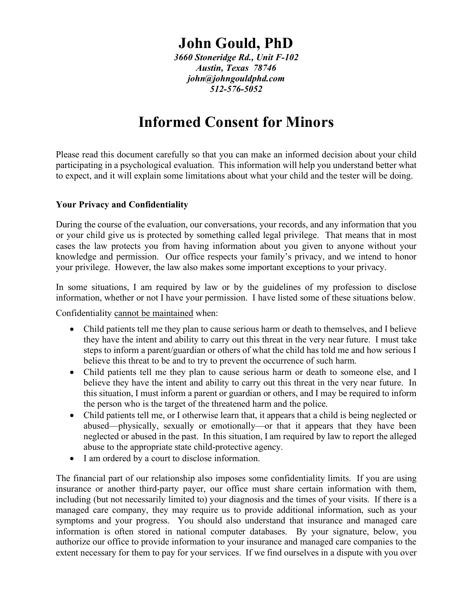# **John Gould, PhD**

*3660 Stoneridge Rd., Unit F-102 Austin, Texas 78746 john@johngouldphd.com 512-576-5052*

# **Informed Consent for Minors**

Please read this document carefully so that you can make an informed decision about your child participating in a psychological evaluation. This information will help you understand better what to expect, and it will explain some limitations about what your child and the tester will be doing.

#### **Your Privacy and Confidentiality**

During the course of the evaluation, our conversations, your records, and any information that you or your child give us is protected by something called legal privilege. That means that in most cases the law protects you from having information about you given to anyone without your knowledge and permission. Our office respects your family's privacy, and we intend to honor your privilege. However, the law also makes some important exceptions to your privacy.

In some situations, I am required by law or by the guidelines of my profession to disclose information, whether or not I have your permission. I have listed some of these situations below.

Confidentiality cannot be maintained when:

- Child patients tell me they plan to cause serious harm or death to themselves, and I believe they have the intent and ability to carry out this threat in the very near future. I must take steps to inform a parent/guardian or others of what the child has told me and how serious I believe this threat to be and to try to prevent the occurrence of such harm.
- Child patients tell me they plan to cause serious harm or death to someone else, and I believe they have the intent and ability to carry out this threat in the very near future. In this situation, I must inform a parent or guardian or others, and I may be required to inform the person who is the target of the threatened harm and the police.
- Child patients tell me, or I otherwise learn that, it appears that a child is being neglected or abused—physically, sexually or emotionally—or that it appears that they have been neglected or abused in the past. In this situation, I am required by law to report the alleged abuse to the appropriate state child-protective agency.
- I am ordered by a court to disclose information.

The financial part of our relationship also imposes some confidentiality limits. If you are using insurance or another third-party payer, our office must share certain information with them, including (but not necessarily limited to) your diagnosis and the times of your visits. If there is a managed care company, they may require us to provide additional information, such as your symptoms and your progress. You should also understand that insurance and managed care information is often stored in national computer databases. By your signature, below, you authorize our office to provide information to your insurance and managed care companies to the extent necessary for them to pay for your services. If we find ourselves in a dispute with you over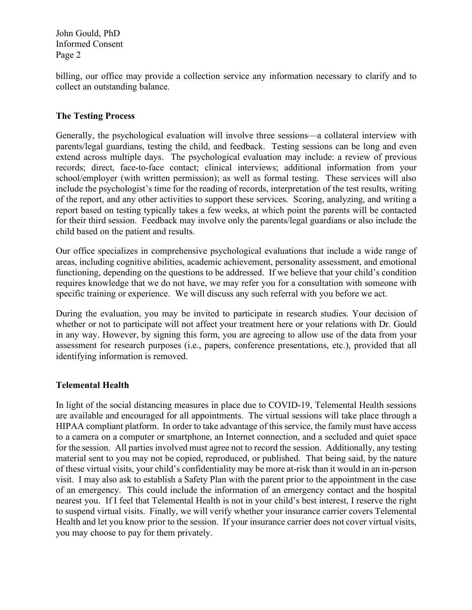John Gould, PhD Informed Consent Page 2

billing, our office may provide a collection service any information necessary to clarify and to collect an outstanding balance.

## **The Testing Process**

Generally, the psychological evaluation will involve three sessions—a collateral interview with parents/legal guardians, testing the child, and feedback. Testing sessions can be long and even extend across multiple days. The psychological evaluation may include: a review of previous records; direct, face-to-face contact; clinical interviews; additional information from your school/employer (with written permission); as well as formal testing. These services will also include the psychologist's time for the reading of records, interpretation of the test results, writing of the report, and any other activities to support these services. Scoring, analyzing, and writing a report based on testing typically takes a few weeks, at which point the parents will be contacted for their third session. Feedback may involve only the parents/legal guardians or also include the child based on the patient and results.

Our office specializes in comprehensive psychological evaluations that include a wide range of areas, including cognitive abilities, academic achievement, personality assessment, and emotional functioning, depending on the questions to be addressed. If we believe that your child's condition requires knowledge that we do not have, we may refer you for a consultation with someone with specific training or experience. We will discuss any such referral with you before we act.

During the evaluation, you may be invited to participate in research studies. Your decision of whether or not to participate will not affect your treatment here or your relations with Dr. Gould in any way. However, by signing this form, you are agreeing to allow use of the data from your assessment for research purposes (i.e., papers, conference presentations, etc.), provided that all identifying information is removed.

## **Telemental Health**

In light of the social distancing measures in place due to COVID-19, Telemental Health sessions are available and encouraged for all appointments. The virtual sessions will take place through a HIPAA compliant platform. In order to take advantage of this service, the family must have access to a camera on a computer or smartphone, an Internet connection, and a secluded and quiet space for the session. All parties involved must agree not to record the session. Additionally, any testing material sent to you may not be copied, reproduced, or published. That being said, by the nature of these virtual visits, your child's confidentiality may be more at-risk than it would in an in-person visit. I may also ask to establish a Safety Plan with the parent prior to the appointment in the case of an emergency. This could include the information of an emergency contact and the hospital nearest you. If I feel that Telemental Health is not in your child's best interest, I reserve the right to suspend virtual visits. Finally, we will verify whether your insurance carrier covers Telemental Health and let you know prior to the session. If your insurance carrier does not cover virtual visits, you may choose to pay for them privately.